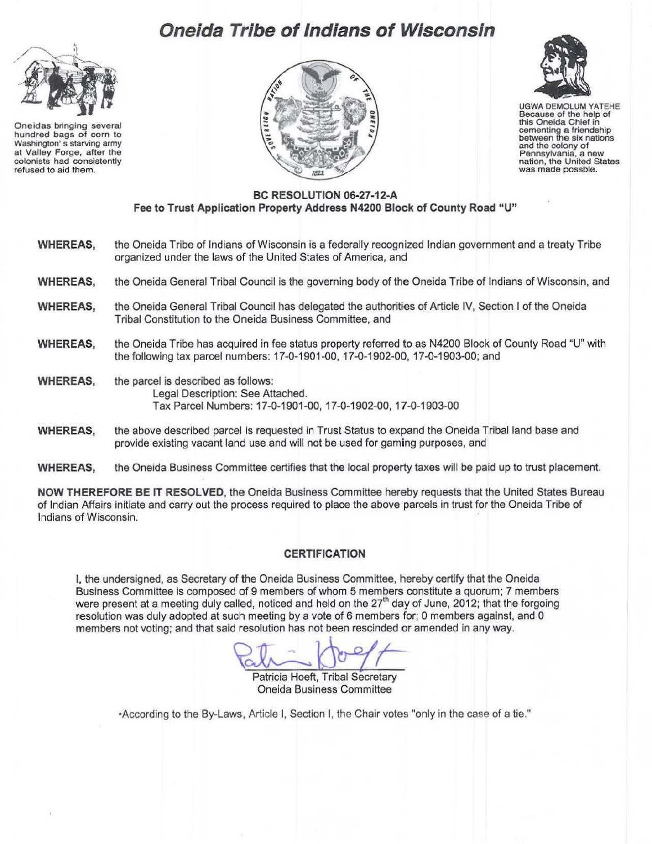# **Oneida Tribe of Indians of Wisconsin**



Oneidas bringing several hundred bags of corn to Washington' s starving army at Valley Forge, after the colonists had consistently refused to aid them.





UGWA DEMOLUM YATEHE Because of the help of<br>this Oneida Chief in this Oneida Chief in cementing a friendship between the six nations and the colony of Pennsylvania, a new nation, the United States was made possble.

## **BC RESOLUTION 06-27 -12-A Fee to Trust Application Property Address N4200 Block of County Road "U"**

| <b>WHEREAS,</b> | the Oneida Tribe of Indians of Wisconsin is a federally recognized Indian government and a treaty Tribe<br>organized under the laws of the United States of America, and                   |
|-----------------|--------------------------------------------------------------------------------------------------------------------------------------------------------------------------------------------|
| <b>WHEREAS,</b> | the Oneida General Tribal Council is the governing body of the Oneida Tribe of Indians of Wisconsin, and                                                                                   |
| <b>WHEREAS,</b> | the Oneida General Tribal Council has delegated the authorities of Article IV, Section I of the Oneida<br>Tribal Constitution to the Oneida Business Committee, and                        |
| <b>WHEREAS,</b> | the Oneida Tribe has acquired in fee status property referred to as N4200 Block of County Road "U" with<br>the following tax parcel numbers: 17-0-1901-00, 17-0-1902-00, 17-0-1903-00; and |
| <b>WHEREAS,</b> | the parcel is described as follows:<br>Legal Description: See Attached.<br>Tax Parcel Numbers: 17-0-1901-00, 17-0-1902-00, 17-0-1903-00                                                    |
| <b>WHEREAS,</b> | the above described parcel is requested in Trust Status to expand the Oneida Tribal land base and<br>provide existing vacant land use and will not be used for gaming purposes, and        |

**WHEREAS,**  the Oneida Business Committee certifies that the local property taxes will be paid up to trust placement.

**NOW THEREFORE BE IT RESOLVED,** the Oneida Business Committee hereby requests that the United States Bureau of Indian Affairs initiate and carry out the process required to place the above parcels in trust for the Oneida Tribe of Indians of Wisconsin.

# **CERTIFICATION**

I, the undersigned, as Secretary of the Oneida Business Committee, hereby certify that the Oneida Business Committee is composed of 9 members of whom 5 members constitute a quorum; 7 members were present at a meeting duly called, noticed and held on the  $27<sup>th</sup>$  day of June, 2012; that the forgoing resolution was duly adopted at such meeting by a vote of 6 members for; 0 members against, and 0 members not voting; and that said resolution has not been rescinded or amended in any way.

Patricia Hoeft, Tribal Secretary Oneida Business Committee

•According to the By-Laws, Article I, Section I, the Chair votes "only in the case of a tie."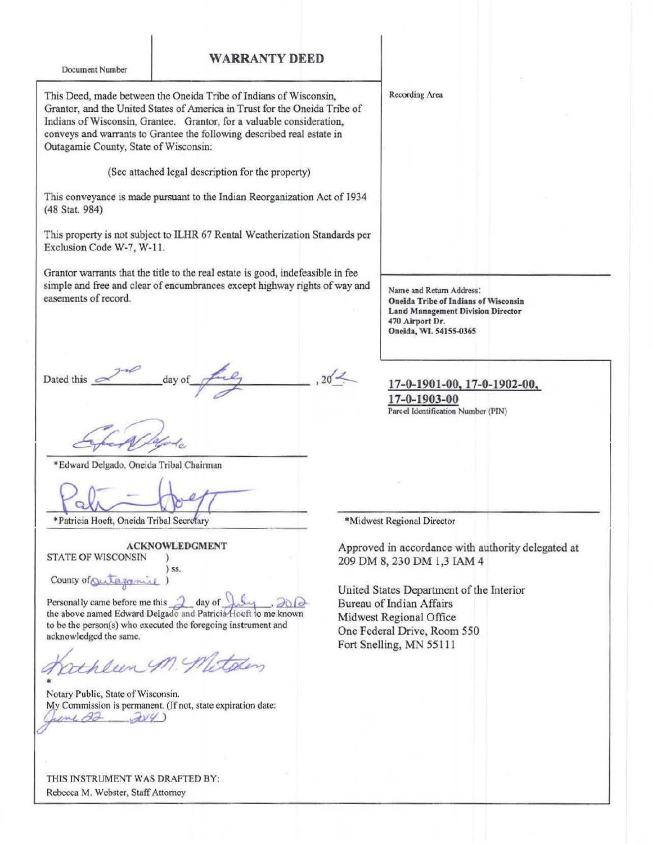### **WARRANTY DEED**

Document Number

This Deed, made between the Oneida Tribe of Indians of Wisconsin, Grantor, and the United States of America in Trust for the Oneida Tribe of Indians of Wisconsin, Grantee. Grantor, for a valuable consideration, conveys and warrants to Grantee the following described real estate in Outagamie County, State of Wisconsin:

(See attached legal description for the property)

Tbis conveyance is made pursuant to the Indian Reorganization Act of 1934 (48 Stat. 984)

This property is not subject to ILHR 67 Rental Weatherization Standards per Exclusion Code W-7, W-11.

Grantor warrants that the title to the real estate is good, indefeasible in fee simple and free and clear of encumbrances except bighway rights of way and easements of record.

Dated this  $\alpha$ <sup>nd</sup> day of the  $20 - 2$ 

\*Edward Delgado, Oneida Tribal Chairman

\*Patricia Hoeft, Oneida Tribal Secretary

ACKNOWLEDGMENT

STATE OF WISCONSIN )  $\sqrt{ss}$ 

County of Quitagamil

Personally came before me this  $\frac{\partial}{\partial \lambda}$  day of  $\frac{\partial}{\partial \lambda}$ the above named Edward Delgado and Patricia Hoeft to me known to be the pcrson(s) who executed the foregoing instrument and acknowledged the same.

theun M. Netden •

Notary Public, State of Wisconsin. My Commission is permanent. (If not, state expiration date:  $imt$   $\partial \theta$   $\rightarrow$   $\mathcal{W}(4)$ 

THIS INSTRUMENT WAS DRAFTED BY: Rebecca M. Webster, Staff Attomcy

Recording Area

Name and Return Address: Oneida Tribe of Indians of Wisconsin **Land Management Division Director** 470 Airport Dr. Oneida, Wl. 54155-0365

**17-0-1901-00, 17-0-1902-00, 17-0-1903-00**  Parcel Identification Number (PIN)

\*Midwest Regional Director

Approved in accordance with authority delegated at 209 DM 8, 230 DM 1,3 lAM 4

United States Department of the Interior Bureau of Indian Affairs Midwest Regional Office One Federal Drive, Room 550 Fort Snelling, MN 55111